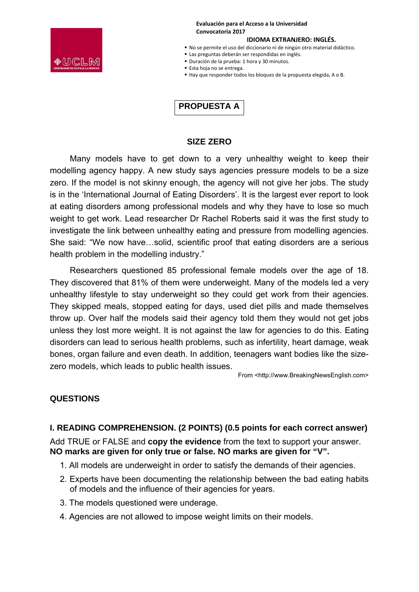

#### **Evaluación para el Acceso a la Universidad Convocatoria 2017**

### **IDIOMA EXTRANJERO: INGLÉS.**

- No se permite el uso del diccionario ni de ningún otro material didáctico.
- Las preguntas deberán ser respondidas en inglés.
- Duración de la prueba: 1 hora y 30 minutos.
- Esta hoja no se entrega.
- Hay que responder todos los bloques de la propuesta elegida, A o B.

# **PROPUESTA A**

### **SIZE ZERO**

Many models have to get down to a very unhealthy weight to keep their modelling agency happy. A new study says agencies pressure models to be a size zero. If the model is not skinny enough, the agency will not give her jobs. The study is in the 'International Journal of Eating Disorders'. It is the largest ever report to look at eating disorders among professional models and why they have to lose so much weight to get work. Lead researcher Dr Rachel Roberts said it was the first study to investigate the link between unhealthy eating and pressure from modelling agencies. She said: "We now have…solid, scientific proof that eating disorders are a serious health problem in the modelling industry."

Researchers questioned 85 professional female models over the age of 18. They discovered that 81% of them were underweight. Many of the models led a very unhealthy lifestyle to stay underweight so they could get work from their agencies. They skipped meals, stopped eating for days, used diet pills and made themselves throw up. Over half the models said their agency told them they would not get jobs unless they lost more weight. It is not against the law for agencies to do this. Eating disorders can lead to serious health problems, such as infertility, heart damage, weak bones, organ failure and even death. In addition, teenagers want bodies like the sizezero models, which leads to public health issues.

From <http://www.BreakingNewsEnglish.com>

# **QUESTIONS**

# **I. READING COMPREHENSION. (2 POINTS) (0.5 points for each correct answer)**

Add TRUE or FALSE and **copy the evidence** from the text to support your answer. **NO marks are given for only true or false. NO marks are given for "V".** 

- 1. All models are underweight in order to satisfy the demands of their agencies.
- 2. Experts have been documenting the relationship between the bad eating habits of models and the influence of their agencies for years.
- 3. The models questioned were underage.
- 4. Agencies are not allowed to impose weight limits on their models.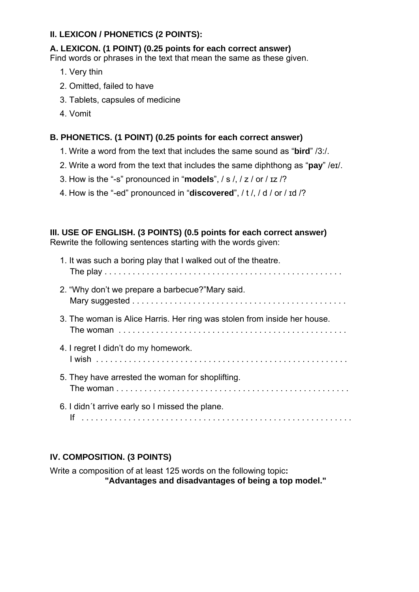# **II. LEXICON / PHONETICS (2 POINTS):**

### **A. LEXICON. (1 POINT) (0.25 points for each correct answer)**

Find words or phrases in the text that mean the same as these given.

- 1. Very thin
- 2. Omitted, failed to have
- 3. Tablets, capsules of medicine
- 4. Vomit

### **B. PHONETICS. (1 POINT) (0.25 points for each correct answer)**

- 1. Write a word from the text that includes the same sound as "**bird**" /3:/.
- 2. Write a word from the text that includes the same diphthong as "**pay**" /eɪ/.
- 3. How is the "-s" pronounced in "**models**", / s /, / z / or / ɪz /?
- 4. How is the "-ed" pronounced in "**discovered**", / t /, / d / or / ɪd /?

# **III. USE OF ENGLISH. (3 POINTS) (0.5 points for each correct answer)**

Rewrite the following sentences starting with the words given:

| 1. It was such a boring play that I walked out of the theatre.           |
|--------------------------------------------------------------------------|
| 2. "Why don't we prepare a barbecue?"Mary said.                          |
| 3. The woman is Alice Harris. Her ring was stolen from inside her house. |
| 4. I regret I didn't do my homework.                                     |
| 5. They have arrested the woman for shoplifting.                         |
| 6. I didn't arrive early so I missed the plane.                          |

# **IV. COMPOSITION. (3 POINTS)**

Write a composition of at least 125 words on the following topic**: "Advantages and disadvantages of being a top model."**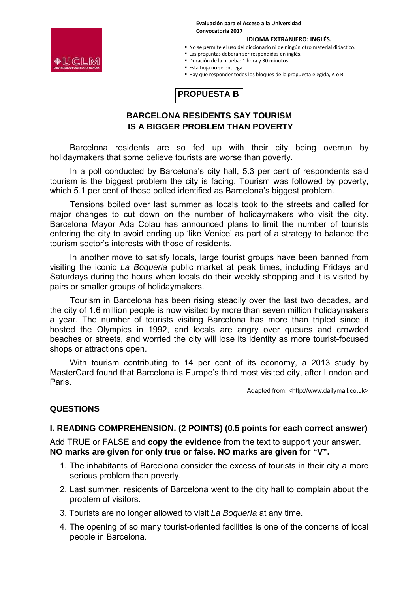**Evaluación para el Acceso a la Universidad Convocatoria 2017**

# ●UCLM

**IDIOMA EXTRANJERO: INGLÉS.** 

- No se permite el uso del diccionario ni de ningún otro material didáctico.
- Las preguntas deberán ser respondidas en inglés.
- Duración de la prueba: 1 hora y 30 minutos.
- Esta hoja no se entrega.
- Hay que responder todos los bloques de la propuesta elegida, A o B.



# **BARCELONA RESIDENTS SAY TOURISM IS A BIGGER PROBLEM THAN POVERTY**

Barcelona residents are so fed up with their city being overrun by holidaymakers that some believe tourists are worse than poverty.

In a poll conducted by Barcelona's city hall, 5.3 per cent of respondents said tourism is the biggest problem the city is facing. Tourism was followed by poverty, which 5.1 per cent of those polled identified as Barcelona's biggest problem.

Tensions boiled over last summer as locals took to the streets and called for major changes to cut down on the number of holidaymakers who visit the city. Barcelona Mayor Ada Colau has announced plans to limit the number of tourists entering the city to avoid ending up 'like Venice' as part of a strategy to balance the tourism sector's interests with those of residents.

In another move to satisfy locals, large tourist groups have been banned from visiting the iconic *La Boqueria* public market at peak times, including Fridays and Saturdays during the hours when locals do their weekly shopping and it is visited by pairs or smaller groups of holidaymakers.

Tourism in Barcelona has been rising steadily over the last two decades, and the city of 1.6 million people is now visited by more than seven million holidaymakers a year. The number of tourists visiting Barcelona has more than tripled since it hosted the Olympics in 1992, and locals are angry over queues and crowded beaches or streets, and worried the city will lose its identity as more tourist-focused shops or attractions open.

With tourism contributing to 14 per cent of its economy, a 2013 study by MasterCard found that Barcelona is Europe's third most visited city, after London and Paris.

Adapted from: <http://www.dailymail.co.uk>

# **QUESTIONS**

### **I. READING COMPREHENSION. (2 POINTS) (0.5 points for each correct answer)**

Add TRUE or FALSE and **copy the evidence** from the text to support your answer. **NO marks are given for only true or false. NO marks are given for "V".** 

- 1. The inhabitants of Barcelona consider the excess of tourists in their city a more serious problem than poverty.
- 2. Last summer, residents of Barcelona went to the city hall to complain about the problem of visitors.
- 3. Tourists are no longer allowed to visit *La Boquería* at any time.
- 4. The opening of so many tourist-oriented facilities is one of the concerns of local people in Barcelona.